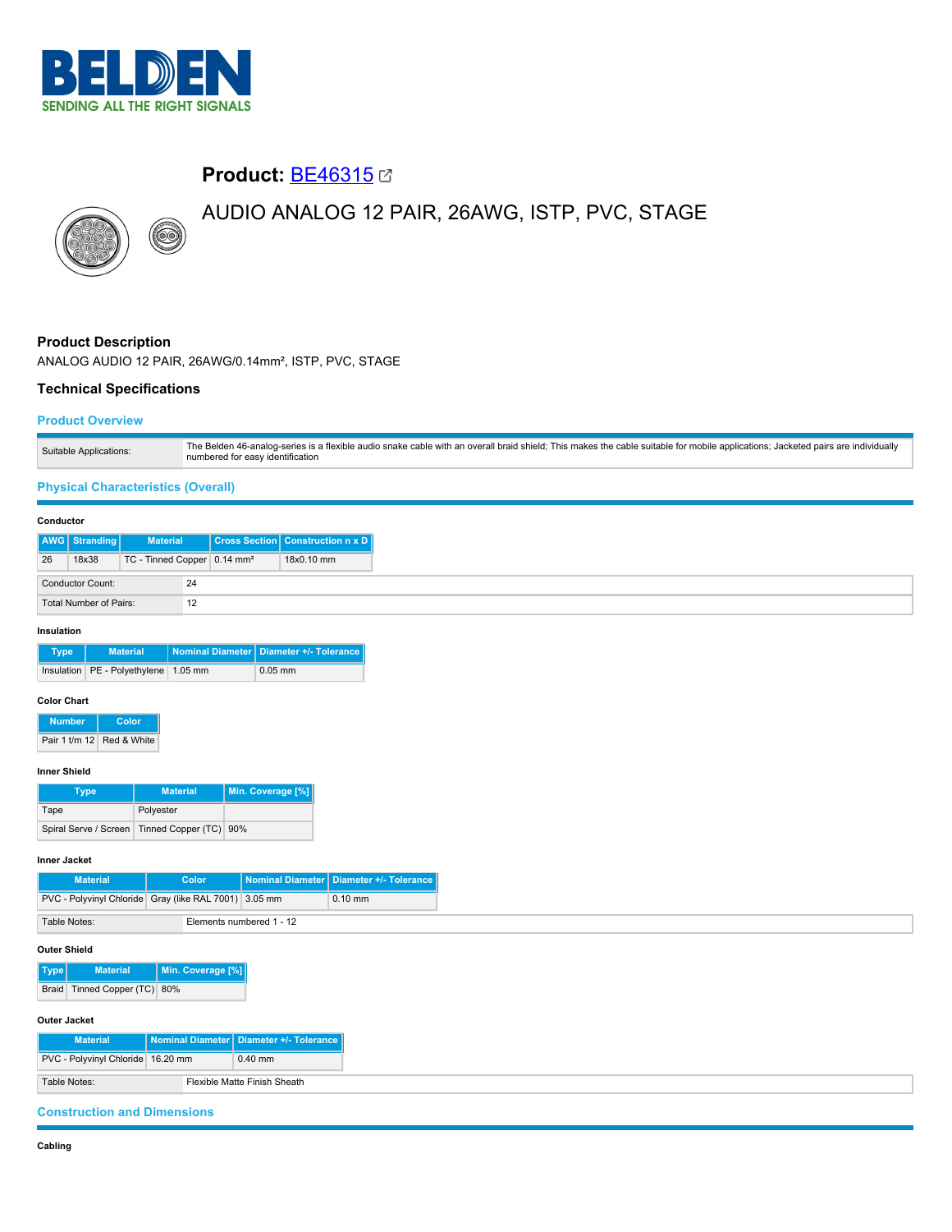

# **Product:** [BE46315](https://catalog.belden.com/index.cfm?event=pd&p=PF_BE46315&tab=downloads)

# AUDIO ANALOG 12 PAIR, 26AWG, ISTP, PVC, STAGE



# **Product Description**

ANALOG AUDIO 12 PAIR, 26AWG/0.14mm², ISTP, PVC, STAGE

## **Technical Specifications**

## **Product Overview**

| Suitable Applications: | The Belden 46-analog-series is a flexible audio snake cable with an overall braid shield; This makes the cable suitable for mobile applications; Jacketed pairs are individually<br>numbered for easy identification |
|------------------------|----------------------------------------------------------------------------------------------------------------------------------------------------------------------------------------------------------------------|
|------------------------|----------------------------------------------------------------------------------------------------------------------------------------------------------------------------------------------------------------------|

## **Physical Characteristics (Overall)**

#### **Conductor**

|    | <b>AWG</b> Stranding    | <b>Material</b>                         |    | <b>Cross Section Construction n x D</b> |
|----|-------------------------|-----------------------------------------|----|-----------------------------------------|
| 26 | 18x38                   | TC - Tinned Copper 0.14 mm <sup>2</sup> |    | 18x0.10 mm                              |
|    | <b>Conductor Count:</b> |                                         | 24 |                                         |
|    | Total Number of Pairs:  |                                         | 12 |                                         |

#### **Insulation**

| <b>Type</b> | <b>Material</b>                          | Nominal Diameter   Diameter +/- Tolerance |
|-------------|------------------------------------------|-------------------------------------------|
|             | Insulation   PE - Polyethylene   1.05 mm | $0.05$ mm                                 |

#### **Color Chart**

| <b>Number</b> | Color                     |  |
|---------------|---------------------------|--|
|               | Pair 1 t/m 12 Red & White |  |

#### **Inner Shield**

| Type                  | <b>Material</b>        | Min. Coverage [%] |  |
|-----------------------|------------------------|-------------------|--|
| Tape                  | Polyester              |                   |  |
| Spiral Serve / Screen | Tinned Copper (TC) 90% |                   |  |

#### **Inner Jacket**

| <b>Material</b>                                       |  | Color |                          | Nominal Diameter   Diameter +/- Tolerance |
|-------------------------------------------------------|--|-------|--------------------------|-------------------------------------------|
| PVC - Polyvinyl Chloride Gray (like RAL 7001) 3.05 mm |  |       |                          | $0.10$ mm                                 |
| Table Notes:                                          |  |       | Elements numbered 1 - 12 |                                           |

## **Outer Shield**

**Type Material Min. Coverage [%]** Braid Tinned Copper (TC) 80%

## **Outer Jacket**

| <b>Material</b>                   | Nominal Diameter   Diameter +/- Tolerance |
|-----------------------------------|-------------------------------------------|
| PVC - Polyvinyl Chloride 16.20 mm | $0.40$ mm                                 |
| Table Notes:                      | Flexible Matte Finish Sheath              |

## **Construction and Dimensions**